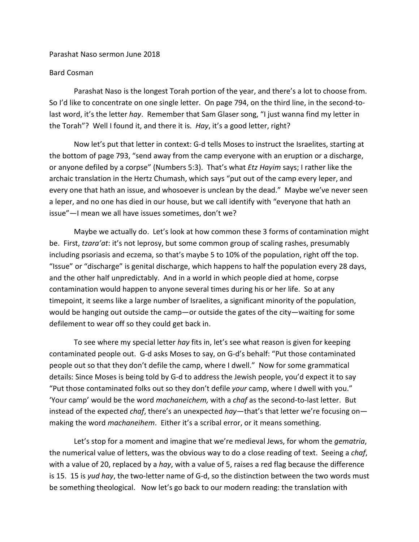## Parashat Naso sermon June 2018

## Bard Cosman

Parashat Naso is the longest Torah portion of the year, and there's a lot to choose from. So I'd like to concentrate on one single letter. On page 794, on the third line, in the second-tolast word, it's the letter *hay*. Remember that Sam Glaser song, "I just wanna find my letter in the Torah"? Well I found it, and there it is. *Hay*, it's a good letter, right?

Now let's put that letter in context: G-d tells Moses to instruct the Israelites, starting at the bottom of page 793, "send away from the camp everyone with an eruption or a discharge, or anyone defiled by a corpse" (Numbers 5:3). That's what *Etz Hayim* says; I rather like the archaic translation in the Hertz Chumash, which says "put out of the camp every leper, and every one that hath an issue, and whosoever is unclean by the dead." Maybe we've never seen a leper, and no one has died in our house, but we call identify with "everyone that hath an issue"—I mean we all have issues sometimes, don't we?

Maybe we actually do. Let's look at how common these 3 forms of contamination might be. First, *tzara'at*: it's not leprosy, but some common group of scaling rashes, presumably including psoriasis and eczema, so that's maybe 5 to 10% of the population, right off the top. "Issue" or "discharge" is genital discharge, which happens to half the population every 28 days, and the other half unpredictably. And in a world in which people died at home, corpse contamination would happen to anyone several times during his or her life. So at any timepoint, it seems like a large number of Israelites, a significant minority of the population, would be hanging out outside the camp—or outside the gates of the city—waiting for some defilement to wear off so they could get back in.

To see where my special letter *hay* fits in, let's see what reason is given for keeping contaminated people out. G-d asks Moses to say, on G-d's behalf: "Put those contaminated people out so that they don't defile the camp, where I dwell." Now for some grammatical details: Since Moses is being told by G-d to address the Jewish people, you'd expect it to say "Put those contaminated folks out so they don't defile *your* camp, where I dwell with you." 'Your camp' would be the word *machaneichem,* with a *chaf* as the second-to-last letter. But instead of the expected *chaf*, there's an unexpected *hay*—that's that letter we're focusing on making the word *machaneihem*. Either it's a scribal error, or it means something.

Let's stop for a moment and imagine that we're medieval Jews, for whom the *gematria*, the numerical value of letters, was the obvious way to do a close reading of text. Seeing a *chaf*, with a value of 20, replaced by a *hay*, with a value of 5, raises a red flag because the difference is 15. 15 is *yud hay*, the two-letter name of G-d, so the distinction between the two words must be something theological. Now let's go back to our modern reading: the translation with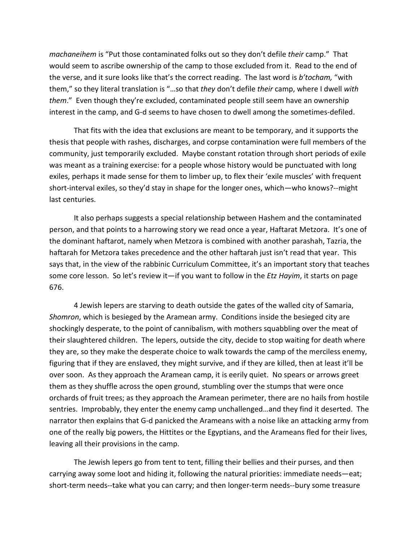*machaneihem* is "Put those contaminated folks out so they don't defile *their* camp." That would seem to ascribe ownership of the camp to those excluded from it. Read to the end of the verse, and it sure looks like that's the correct reading. The last word is *b'tocham,* "with them," so they literal translation is "…so that *they* don't defile *their* camp, where I dwell *with them*." Even though they're excluded, contaminated people still seem have an ownership interest in the camp, and G-d seems to have chosen to dwell among the sometimes-defiled.

That fits with the idea that exclusions are meant to be temporary, and it supports the thesis that people with rashes, discharges, and corpse contamination were full members of the community, just temporarily excluded. Maybe constant rotation through short periods of exile was meant as a training exercise: for a people whose history would be punctuated with long exiles, perhaps it made sense for them to limber up, to flex their 'exile muscles' with frequent short-interval exiles, so they'd stay in shape for the longer ones, which—who knows?--might last centuries.

It also perhaps suggests a special relationship between Hashem and the contaminated person, and that points to a harrowing story we read once a year, Haftarat Metzora. It's one of the dominant haftarot, namely when Metzora is combined with another parashah, Tazria, the haftarah for Metzora takes precedence and the other haftarah just isn't read that year. This says that, in the view of the rabbinic Curriculum Committee, it's an important story that teaches some core lesson. So let's review it—if you want to follow in the *Etz Hayim*, it starts on page 676.

4 Jewish lepers are starving to death outside the gates of the walled city of Samaria, *Shomron*, which is besieged by the Aramean army. Conditions inside the besieged city are shockingly desperate, to the point of cannibalism, with mothers squabbling over the meat of their slaughtered children. The lepers, outside the city, decide to stop waiting for death where they are, so they make the desperate choice to walk towards the camp of the merciless enemy, figuring that if they are enslaved, they might survive, and if they are killed, then at least it'll be over soon. As they approach the Aramean camp, it is eerily quiet. No spears or arrows greet them as they shuffle across the open ground, stumbling over the stumps that were once orchards of fruit trees; as they approach the Aramean perimeter, there are no hails from hostile sentries. Improbably, they enter the enemy camp unchallenged…and they find it deserted. The narrator then explains that G-d panicked the Arameans with a noise like an attacking army from one of the really big powers, the Hittites or the Egyptians, and the Arameans fled for their lives, leaving all their provisions in the camp.

The Jewish lepers go from tent to tent, filling their bellies and their purses, and then carrying away some loot and hiding it, following the natural priorities: immediate needs—eat; short-term needs--take what you can carry; and then longer-term needs--bury some treasure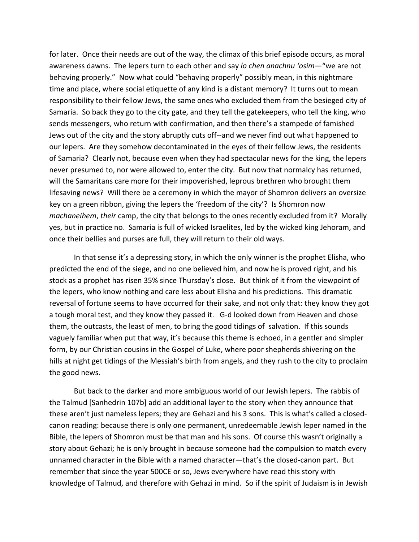for later. Once their needs are out of the way, the climax of this brief episode occurs, as moral awareness dawns. The lepers turn to each other and say *lo chen anachnu 'osim*—"we are not behaving properly." Now what could "behaving properly" possibly mean, in this nightmare time and place, where social etiquette of any kind is a distant memory? It turns out to mean responsibility to their fellow Jews, the same ones who excluded them from the besieged city of Samaria. So back they go to the city gate, and they tell the gatekeepers, who tell the king, who sends messengers, who return with confirmation, and then there's a stampede of famished Jews out of the city and the story abruptly cuts off--and we never find out what happened to our lepers. Are they somehow decontaminated in the eyes of their fellow Jews, the residents of Samaria? Clearly not, because even when they had spectacular news for the king, the lepers never presumed to, nor were allowed to, enter the city. But now that normalcy has returned, will the Samaritans care more for their impoverished, leprous brethren who brought them lifesaving news? Will there be a ceremony in which the mayor of Shomron delivers an oversize key on a green ribbon, giving the lepers the 'freedom of the city'? Is Shomron now *machaneihem*, *their* camp, the city that belongs to the ones recently excluded from it? Morally yes, but in practice no. Samaria is full of wicked Israelites, led by the wicked king Jehoram, and once their bellies and purses are full, they will return to their old ways.

In that sense it's a depressing story, in which the only winner is the prophet Elisha, who predicted the end of the siege, and no one believed him, and now he is proved right, and his stock as a prophet has risen 35% since Thursday's close. But think of it from the viewpoint of the lepers, who know nothing and care less about Elisha and his predictions. This dramatic reversal of fortune seems to have occurred for their sake, and not only that: they know they got a tough moral test, and they know they passed it. G-d looked down from Heaven and chose them, the outcasts, the least of men, to bring the good tidings of salvation. If this sounds vaguely familiar when put that way, it's because this theme is echoed, in a gentler and simpler form, by our Christian cousins in the Gospel of Luke, where poor shepherds shivering on the hills at night get tidings of the Messiah's birth from angels, and they rush to the city to proclaim the good news.

But back to the darker and more ambiguous world of our Jewish lepers. The rabbis of the Talmud [Sanhedrin 107b] add an additional layer to the story when they announce that these aren't just nameless lepers; they are Gehazi and his 3 sons. This is what's called a closedcanon reading: because there is only one permanent, unredeemable Jewish leper named in the Bible, the lepers of Shomron must be that man and his sons. Of course this wasn't originally a story about Gehazi; he is only brought in because someone had the compulsion to match every unnamed character in the Bible with a named character—that's the closed-canon part. But remember that since the year 500CE or so, Jews everywhere have read this story with knowledge of Talmud, and therefore with Gehazi in mind. So if the spirit of Judaism is in Jewish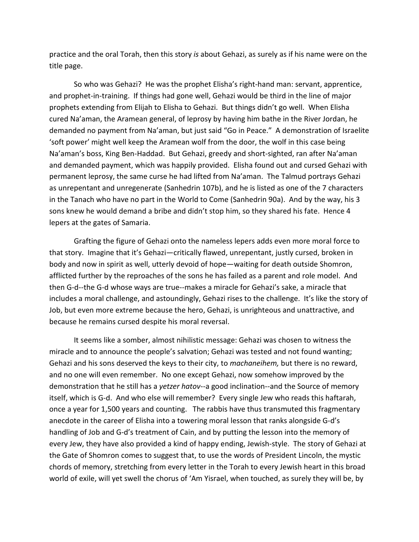practice and the oral Torah, then this story *is* about Gehazi, as surely as if his name were on the title page.

So who was Gehazi? He was the prophet Elisha's right-hand man: servant, apprentice, and prophet-in-training. If things had gone well, Gehazi would be third in the line of major prophets extending from Elijah to Elisha to Gehazi. But things didn't go well. When Elisha cured Na'aman, the Aramean general, of leprosy by having him bathe in the River Jordan, he demanded no payment from Na'aman, but just said "Go in Peace." A demonstration of Israelite 'soft power' might well keep the Aramean wolf from the door, the wolf in this case being Na'aman's boss, King Ben-Haddad. But Gehazi, greedy and short-sighted, ran after Na'aman and demanded payment, which was happily provided. Elisha found out and cursed Gehazi with permanent leprosy, the same curse he had lifted from Na'aman. The Talmud portrays Gehazi as unrepentant and unregenerate (Sanhedrin 107b), and he is listed as one of the 7 characters in the Tanach who have no part in the World to Come (Sanhedrin 90a). And by the way, his 3 sons knew he would demand a bribe and didn't stop him, so they shared his fate. Hence 4 lepers at the gates of Samaria.

Grafting the figure of Gehazi onto the nameless lepers adds even more moral force to that story. Imagine that it's Gehazi—critically flawed, unrepentant, justly cursed, broken in body and now in spirit as well, utterly devoid of hope—waiting for death outside Shomron, afflicted further by the reproaches of the sons he has failed as a parent and role model. And then G-d--the G-d whose ways are true--makes a miracle for Gehazi's sake, a miracle that includes a moral challenge, and astoundingly, Gehazi rises to the challenge. It's like the story of Job, but even more extreme because the hero, Gehazi, is unrighteous and unattractive, and because he remains cursed despite his moral reversal.

It seems like a somber, almost nihilistic message: Gehazi was chosen to witness the miracle and to announce the people's salvation; Gehazi was tested and not found wanting; Gehazi and his sons deserved the keys to their city, to *machaneihem,* but there is no reward, and no one will even remember. No one except Gehazi, now somehow improved by the demonstration that he still has a *yetzer hatov*--a good inclination--and the Source of memory itself, which is G-d. And who else will remember? Every single Jew who reads this haftarah, once a year for 1,500 years and counting. The rabbis have thus transmuted this fragmentary anecdote in the career of Elisha into a towering moral lesson that ranks alongside G-d's handling of Job and G-d's treatment of Cain, and by putting the lesson into the memory of every Jew, they have also provided a kind of happy ending, Jewish-style. The story of Gehazi at the Gate of Shomron comes to suggest that, to use the words of President Lincoln, the mystic chords of memory, stretching from every letter in the Torah to every Jewish heart in this broad world of exile, will yet swell the chorus of 'Am Yisrael, when touched, as surely they will be, by